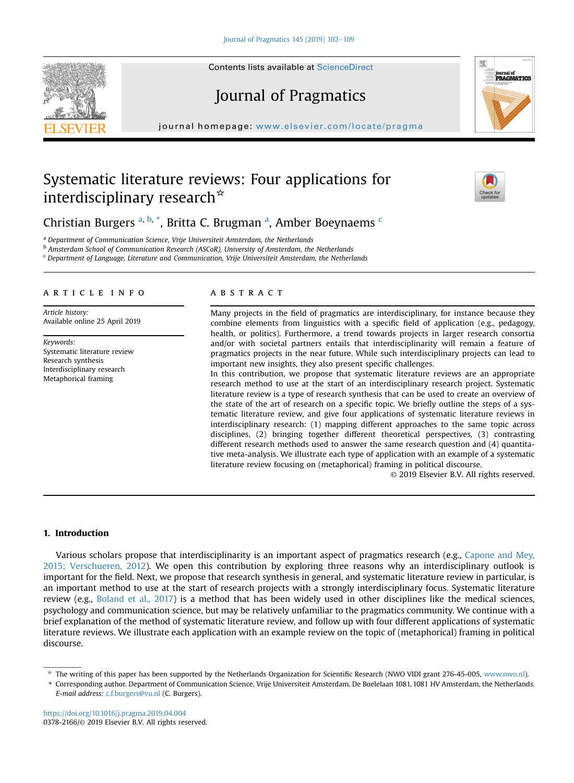## Journal of Pragmatics

journal homepage: <www.elsevier.com/locate/pragma> $\frac{1}{2}$ 

# <span id="page-0-0"></span>Systematic literature reviews: Four applications for interdisciplinary research<sup>\*</sup>



爛

annal of **PRAGMATICS** 

### Christian Burgers <sup>a, b,</sup> \*, Britta C. Brugman <sup>a</sup>, Amber Boeynaems <sup>c</sup>

<sup>a</sup> Department of Communication Science, Vrije Universiteit Amsterdam, the Netherlands

**b Amsterdam School of Communication Research (ASCoR), University of Amsterdam, the Netherlands** 

<sup>c</sup> Department of Language, Literature and Communication, Vrije Universiteit Amsterdam, the Netherlands

#### article info

Article history: Available online 25 April 2019

Keywords: Systematic literature review Research synthesis Interdisciplinary research Metaphorical framing

#### **ABSTRACT**

Many projects in the field of pragmatics are interdisciplinary, for instance because they combine elements from linguistics with a specific field of application (e.g., pedagogy, health, or politics). Furthermore, a trend towards projects in larger research consortia and/or with societal partners entails that interdisciplinarity will remain a feature of pragmatics projects in the near future. While such interdisciplinary projects can lead to important new insights, they also present specific challenges.

In this contribution, we propose that systematic literature reviews are an appropriate research method to use at the start of an interdisciplinary research project. Systematic literature review is a type of research synthesis that can be used to create an overview of the state of the art of research on a specific topic. We briefly outline the steps of a systematic literature review, and give four applications of systematic literature reviews in interdisciplinary research: (1) mapping different approaches to the same topic across disciplines, (2) bringing together different theoretical perspectives, (3) contrasting different research methods used to answer the same research question and (4) quantitative meta-analysis. We illustrate each type of application with an example of a systematic literature review focusing on (metaphorical) framing in political discourse.

© 2019 Elsevier B.V. All rights reserved.

#### 1. Introduction

Various scholars propose that interdisciplinarity is an important aspect of pragmatics research (e.g., [Capone and Mey,](#page-6-0) [2015; Verschueren, 2012](#page-6-0)). We open this contribution by exploring three reasons why an interdisciplinary outlook is important for the field. Next, we propose that research synthesis in general, and systematic literature review in particular, is an important method to use at the start of research projects with a strongly interdisciplinary focus. Systematic literature review (e.g., [Boland et al., 2017](#page-6-0)) is a method that has been widely used in other disciplines like the medical sciences, psychology and communication science, but may be relatively unfamiliar to the pragmatics community. We continue with a brief explanation of the method of systematic literature review, and follow up with four different applications of systematic literature reviews. We illustrate each application with an example review on the topic of (metaphorical) framing in political discourse.

<sup>\*</sup> The writing of this paper has been supported by the Netherlands Organization for Scientific Research (NWO VIDI grant 276-45-005, [www.nwo.nl\)](http://www.nwo.nl/).

<sup>\*</sup> Corresponding author. Department of Communication Science, Vrije Universiteit Amsterdam, De Boelelaan 1081, 1081 HV Amsterdam, the Netherlands. E-mail address: [c.f.burgers@vu.nl](mailto:c.f.burgers@vu.nl) (C. Burgers).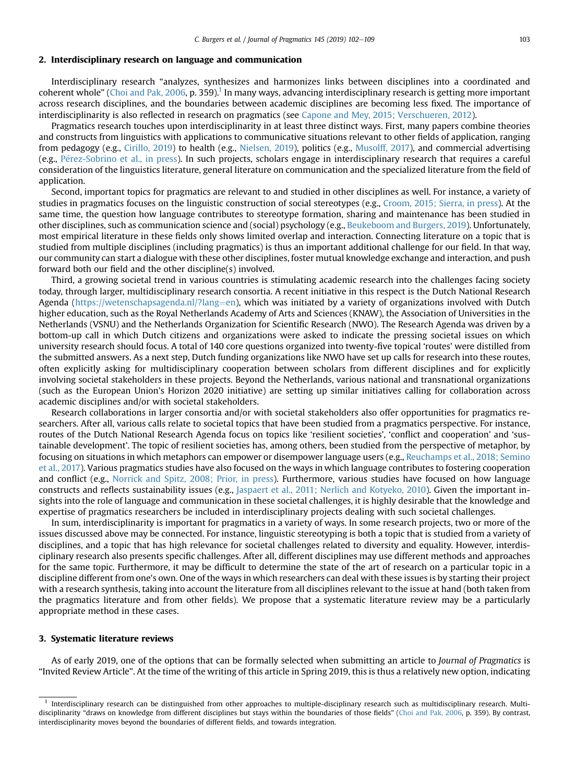#### 2. Interdisciplinary research on language and communication

Interdisciplinary research "analyzes, synthesizes and harmonizes links between disciplines into a coordinated and coherent whole" [\(Choi and Pak, 2006,](#page-6-0) p. 359).<sup>1</sup> In many ways, advancing interdisciplinary research is getting more important across research disciplines, and the boundaries between academic disciplines are becoming less fixed. The importance of interdisciplinarity is also reflected in research on pragmatics (see [Capone and Mey, 2015; Verschueren, 2012\)](#page-6-0).

Pragmatics research touches upon interdisciplinarity in at least three distinct ways. First, many papers combine theories and constructs from linguistics with applications to communicative situations relevant to other fields of application, ranging from pedagogy (e.g., [Cirillo, 2019\)](#page-6-0) to health (e.g., [Nielsen, 2019\)](#page-7-0), politics (e.g., [Musolff, 2017\)](#page-7-0), and commercial advertising (e.g., [P](#page-7-0)é[rez-Sobrino et al., in press](#page-7-0)). In such projects, scholars engage in interdisciplinary research that requires a careful consideration of the linguistics literature, general literature on communication and the specialized literature from the field of application.

Second, important topics for pragmatics are relevant to and studied in other disciplines as well. For instance, a variety of studies in pragmatics focuses on the linguistic construction of social stereotypes (e.g., [Croom, 2015; Sierra, in press](#page-6-0)). At the same time, the question how language contributes to stereotype formation, sharing and maintenance has been studied in other disciplines, such as communication science and (social) psychology (e.g., [Beukeboom and Burgers, 2019](#page-6-0)). Unfortunately, most empirical literature in these fields only shows limited overlap and interaction. Connecting literature on a topic that is studied from multiple disciplines (including pragmatics) is thus an important additional challenge for our field. In that way, our community can start a dialogue with these other disciplines, foster mutual knowledge exchange and interaction, and push forward both our field and the other discipline(s) involved.

Third, a growing societal trend in various countries is stimulating academic research into the challenges facing society today, through larger, multidisciplinary research consortia. A recent initiative in this respect is the Dutch National Research Agenda [\(https://wetenschapsagenda.nl/?lang](https://wetenschapsagenda.nl/?lang=en)=[en\)](https://wetenschapsagenda.nl/?lang=en), which was initiated by a variety of organizations involved with Dutch higher education, such as the Royal Netherlands Academy of Arts and Sciences (KNAW), the Association of Universities in the Netherlands (VSNU) and the Netherlands Organization for Scientific Research (NWO). The Research Agenda was driven by a bottom-up call in which Dutch citizens and organizations were asked to indicate the pressing societal issues on which university research should focus. A total of 140 core questions organized into twenty-five topical 'routes' were distilled from the submitted answers. As a next step, Dutch funding organizations like NWO have set up calls for research into these routes, often explicitly asking for multidisciplinary cooperation between scholars from different disciplines and for explicitly involving societal stakeholders in these projects. Beyond the Netherlands, various national and transnational organizations (such as the European Union's Horizon 2020 initiative) are setting up similar initiatives calling for collaboration across academic disciplines and/or with societal stakeholders.

Research collaborations in larger consortia and/or with societal stakeholders also offer opportunities for pragmatics researchers. After all, various calls relate to societal topics that have been studied from a pragmatics perspective. For instance, routes of the Dutch National Research Agenda focus on topics like 'resilient societies', 'conflict and cooperation' and 'sustainable development'. The topic of resilient societies has, among others, been studied from the perspective of metaphor, by focusing on situations in which metaphors can empower or disempower language users (e.g., [Reuchamps et al., 2018; Semino](#page-7-0) [et al., 2017](#page-7-0)). Various pragmatics studies have also focused on the ways in which language contributes to fostering cooperation and conflict (e.g., [Norrick and Spitz, 2008; Prior, in press](#page-7-0)). Furthermore, various studies have focused on how language constructs and reflects sustainability issues (e.g., [Jaspaert et al., 2011; Nerlich and Kotyeko, 2010](#page-6-0)). Given the important insights into the role of language and communication in these societal challenges, it is highly desirable that the knowledge and expertise of pragmatics researchers be included in interdisciplinary projects dealing with such societal challenges.

In sum, interdisciplinarity is important for pragmatics in a variety of ways. In some research projects, two or more of the issues discussed above may be connected. For instance, linguistic stereotyping is both a topic that is studied from a variety of disciplines, and a topic that has high relevance for societal challenges related to diversity and equality. However, interdisciplinary research also presents specific challenges. After all, different disciplines may use different methods and approaches for the same topic. Furthermore, it may be difficult to determine the state of the art of research on a particular topic in a discipline different from one's own. One of the ways in which researchers can deal with these issues is by starting their project with a research synthesis, taking into account the literature from all disciplines relevant to the issue at hand (both taken from the pragmatics literature and from other fields). We propose that a systematic literature review may be a particularly appropriate method in these cases.

#### 3. Systematic literature reviews

As of early 2019, one of the options that can be formally selected when submitting an article to Journal of Pragmatics is "Invited Review Article". At the time of the writing of this article in Spring 2019, this is thus a relatively new option, indicating

 $1$  Interdisciplinary research can be distinguished from other approaches to multiple-disciplinary research such as multidisciplinary research. Multidisciplinarity "draws on knowledge from different disciplines but stays within the boundaries of those fields" ([Choi and Pak, 2006](#page-6-0), p. 359). By contrast, interdisciplinarity moves beyond the boundaries of different fields, and towards integration.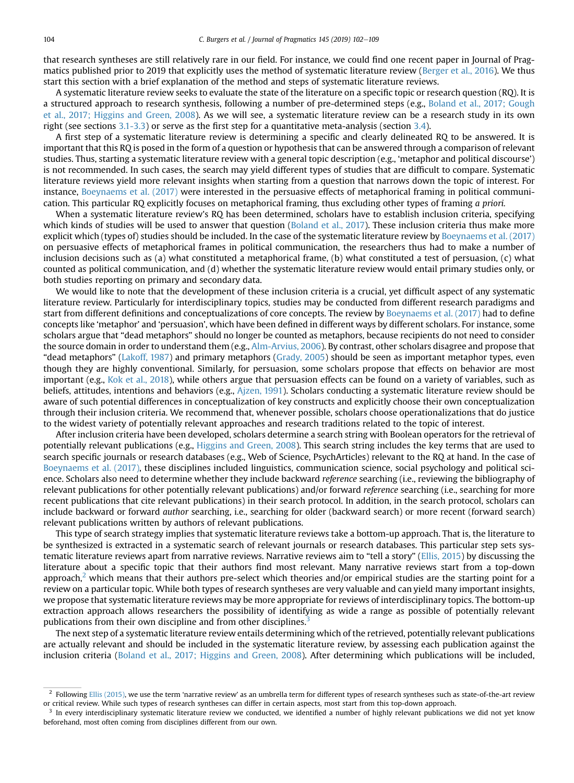that research syntheses are still relatively rare in our field. For instance, we could find one recent paper in Journal of Pragmatics published prior to 2019 that explicitly uses the method of systematic literature review ([Berger et al., 2016\)](#page-6-0). We thus start this section with a brief explanation of the method and steps of systematic literature reviews.

A systematic literature review seeks to evaluate the state of the literature on a specific topic or research question (RQ). It is a structured approach to research synthesis, following a number of pre-determined steps (e.g., [Boland et al., 2017; Gough](#page-6-0) [et al., 2017; Higgins and Green, 2008](#page-6-0)). As we will see, a systematic literature review can be a research study in its own right (see sections [3.1-3.3](#page-0-0)) or serve as the first step for a quantitative meta-analysis (section [3.4](#page-5-0)).

A first step of a systematic literature review is determining a specific and clearly delineated RQ to be answered. It is important that this RQ is posed in the form of a question or hypothesis that can be answered through a comparison of relevant studies. Thus, starting a systematic literature review with a general topic description (e.g., 'metaphor and political discourse') is not recommended. In such cases, the search may yield different types of studies that are difficult to compare. Systematic literature reviews yield more relevant insights when starting from a question that narrows down the topic of interest. For instance, [Boeynaems et al. \(2017\)](#page-6-0) were interested in the persuasive effects of metaphorical framing in political communication. This particular RQ explicitly focuses on metaphorical framing, thus excluding other types of framing a priori.

When a systematic literature review's RQ has been determined, scholars have to establish inclusion criteria, specifying which kinds of studies will be used to answer that question [\(Boland et al., 2017](#page-6-0)). These inclusion criteria thus make more explicit which (types of) studies should be included. In the case of the systematic literature review by [Boeynaems et al. \(2017\)](#page-6-0) on persuasive effects of metaphorical frames in political communication, the researchers thus had to make a number of inclusion decisions such as (a) what constituted a metaphorical frame, (b) what constituted a test of persuasion, (c) what counted as political communication, and (d) whether the systematic literature review would entail primary studies only, or both studies reporting on primary and secondary data.

We would like to note that the development of these inclusion criteria is a crucial, yet difficult aspect of any systematic literature review. Particularly for interdisciplinary topics, studies may be conducted from different research paradigms and start from different definitions and conceptualizations of core concepts. The review by [Boeynaems et al. \(2017\)](#page-6-0) had to define concepts like 'metaphor' and 'persuasion', which have been defined in different ways by different scholars. For instance, some scholars argue that "dead metaphors" should no longer be counted as metaphors, because recipients do not need to consider the source domain in order to understand them (e.g., [Alm-Arvius, 2006\)](#page-6-0). By contrast, other scholars disagree and propose that "dead metaphors" [\(Lakoff, 1987\)](#page-6-0) and primary metaphors [\(Grady, 2005](#page-6-0)) should be seen as important metaphor types, even though they are highly conventional. Similarly, for persuasion, some scholars propose that effects on behavior are most important (e.g., [Kok et al., 2018](#page-6-0)), while others argue that persuasion effects can be found on a variety of variables, such as beliefs, attitudes, intentions and behaviors (e.g., [Ajzen, 1991](#page-6-0)). Scholars conducting a systematic literature review should be aware of such potential differences in conceptualization of key constructs and explicitly choose their own conceptualization through their inclusion criteria. We recommend that, whenever possible, scholars choose operationalizations that do justice to the widest variety of potentially relevant approaches and research traditions related to the topic of interest.

After inclusion criteria have been developed, scholars determine a search string with Boolean operators for the retrieval of potentially relevant publications (e.g., [Higgins and Green, 2008\)](#page-6-0). This search string includes the key terms that are used to search specific journals or research databases (e.g., Web of Science, PsychArticles) relevant to the RQ at hand. In the case of [Boeynaems et al. \(2017\)](#page-6-0), these disciplines included linguistics, communication science, social psychology and political science. Scholars also need to determine whether they include backward reference searching (i.e., reviewing the bibliography of relevant publications for other potentially relevant publications) and/or forward reference searching (i.e., searching for more recent publications that cite relevant publications) in their search protocol. In addition, in the search protocol, scholars can include backward or forward author searching, i.e., searching for older (backward search) or more recent (forward search) relevant publications written by authors of relevant publications.

This type of search strategy implies that systematic literature reviews take a bottom-up approach. That is, the literature to be synthesized is extracted in a systematic search of relevant journals or research databases. This particular step sets systematic literature reviews apart from narrative reviews. Narrative reviews aim to "tell a story" ([Ellis, 2015](#page-6-0)) by discussing the literature about a specific topic that their authors find most relevant. Many narrative reviews start from a top-down approach, $^2$  which means that their authors pre-select which theories and/or empirical studies are the starting point for a review on a particular topic. While both types of research syntheses are very valuable and can yield many important insights, we propose that systematic literature reviews may be more appropriate for reviews of interdisciplinary topics. The bottom-up extraction approach allows researchers the possibility of identifying as wide a range as possible of potentially relevant publications from their own discipline and from other disciplines.<sup>3</sup>

The next step of a systematic literature review entails determining which of the retrieved, potentially relevant publications are actually relevant and should be included in the systematic literature review, by assessing each publication against the inclusion criteria ([Boland et al., 2017; Higgins and Green, 2008](#page-6-0)). After determining which publications will be included,

 $^2$  Following [Ellis \(2015\)](#page-6-0), we use the term 'narrative review' as an umbrella term for different types of research syntheses such as state-of-the-art review or critical review. While such types of research syntheses can differ in certain aspects, most start from this top-down approach.

<sup>&</sup>lt;sup>3</sup> In every interdisciplinary systematic literature review we conducted, we identified a number of highly relevant publications we did not yet know beforehand, most often coming from disciplines different from our own.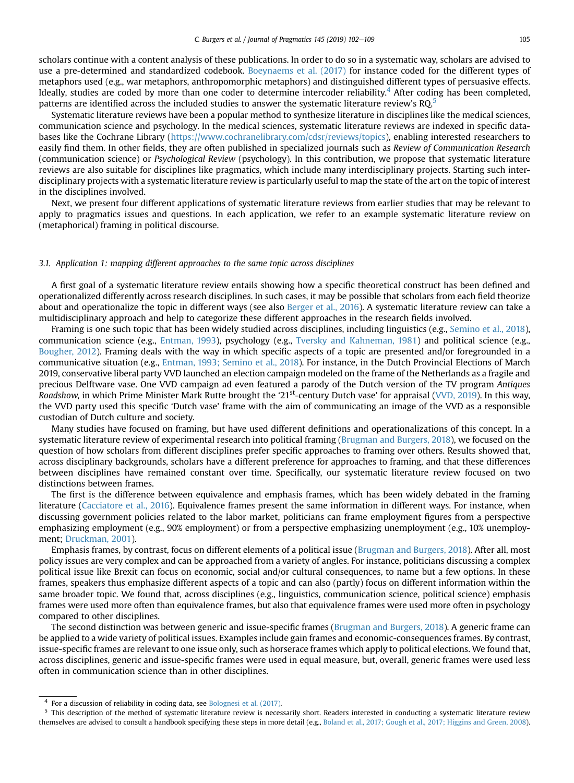scholars continue with a content analysis of these publications. In order to do so in a systematic way, scholars are advised to use a pre-determined and standardized codebook. [Boeynaems et al. \(2017\)](#page-6-0) for instance coded for the different types of metaphors used (e.g., war metaphors, anthropomorphic metaphors) and distinguished different types of persuasive effects. Ideally, studies are coded by more than one coder to determine intercoder reliability.<sup>4</sup> After coding has been completed, patterns are identified across the included studies to answer the systematic literature review's RQ.<sup>5</sup>

Systematic literature reviews have been a popular method to synthesize literature in disciplines like the medical sciences, communication science and psychology. In the medical sciences, systematic literature reviews are indexed in specific databases like the Cochrane Library [\(https://www.cochranelibrary.com/cdsr/reviews/topics\)](https://www.cochranelibrary.com/cdsr/reviews/topics), enabling interested researchers to easily find them. In other fields, they are often published in specialized journals such as Review of Communication Research (communication science) or Psychological Review (psychology). In this contribution, we propose that systematic literature reviews are also suitable for disciplines like pragmatics, which include many interdisciplinary projects. Starting such interdisciplinary projects with a systematic literature review is particularly useful to map the state of the art on the topic of interest in the disciplines involved.

Next, we present four different applications of systematic literature reviews from earlier studies that may be relevant to apply to pragmatics issues and questions. In each application, we refer to an example systematic literature review on (metaphorical) framing in political discourse.

#### 3.1. Application 1: mapping different approaches to the same topic across disciplines

A first goal of a systematic literature review entails showing how a specific theoretical construct has been defined and operationalized differently across research disciplines. In such cases, it may be possible that scholars from each field theorize about and operationalize the topic in different ways (see also [Berger et al., 2016\)](#page-6-0). A systematic literature review can take a multidisciplinary approach and help to categorize these different approaches in the research fields involved.

Framing is one such topic that has been widely studied across disciplines, including linguistics (e.g., [Semino et al., 2018](#page-7-0)), communication science (e.g., [Entman, 1993](#page-6-0)), psychology (e.g., [Tversky and Kahneman, 1981\)](#page-7-0) and political science (e.g., [Bougher, 2012\)](#page-6-0). Framing deals with the way in which specific aspects of a topic are presented and/or foregrounded in a communicative situation (e.g., [Entman, 1993; Semino et al., 2018\)](#page-6-0). For instance, in the Dutch Provincial Elections of March 2019, conservative liberal party VVD launched an election campaign modeled on the frame of the Netherlands as a fragile and precious Delftware vase. One VVD campaign ad even featured a parody of the Dutch version of the TV program Antiques Roadshow, in which Prime Minister Mark Rutte brought the '21<sup>st</sup>-century Dutch vase' for appraisal [\(VVD, 2019](#page-7-0)). In this way, the VVD party used this specific 'Dutch vase' frame with the aim of communicating an image of the VVD as a responsible custodian of Dutch culture and society.

Many studies have focused on framing, but have used different definitions and operationalizations of this concept. In a systematic literature review of experimental research into political framing ([Brugman and Burgers, 2018\)](#page-6-0), we focused on the question of how scholars from different disciplines prefer specific approaches to framing over others. Results showed that, across disciplinary backgrounds, scholars have a different preference for approaches to framing, and that these differences between disciplines have remained constant over time. Specifically, our systematic literature review focused on two distinctions between frames.

The first is the difference between equivalence and emphasis frames, which has been widely debated in the framing literature ([Cacciatore et al., 2016\)](#page-6-0). Equivalence frames present the same information in different ways. For instance, when discussing government policies related to the labor market, politicians can frame employment figures from a perspective emphasizing employment (e.g., 90% employment) or from a perspective emphasizing unemployment (e.g., 10% unemployment; [Druckman, 2001\)](#page-6-0).

Emphasis frames, by contrast, focus on different elements of a political issue ([Brugman and Burgers, 2018](#page-6-0)). After all, most policy issues are very complex and can be approached from a variety of angles. For instance, politicians discussing a complex political issue like Brexit can focus on economic, social and/or cultural consequences, to name but a few options. In these frames, speakers thus emphasize different aspects of a topic and can also (partly) focus on different information within the same broader topic. We found that, across disciplines (e.g., linguistics, communication science, political science) emphasis frames were used more often than equivalence frames, but also that equivalence frames were used more often in psychology compared to other disciplines.

The second distinction was between generic and issue-specific frames [\(Brugman and Burgers, 2018](#page-6-0)). A generic frame can be applied to a wide variety of political issues. Examples include gain frames and economic-consequences frames. By contrast, issue-specific frames are relevant to one issue only, such as horserace frames which apply to political elections. We found that, across disciplines, generic and issue-specific frames were used in equal measure, but, overall, generic frames were used less often in communication science than in other disciplines.

<sup>4</sup> For a discussion of reliability in coding data, see [Bolognesi et al. \(2017\)](#page-6-0).

<sup>&</sup>lt;sup>5</sup> This description of the method of systematic literature review is necessarily short. Readers interested in conducting a systematic literature review themselves are advised to consult a handbook specifying these steps in more detail (e.g., [Boland et al., 2017; Gough et al., 2017; Higgins and Green, 2008](#page-6-0)).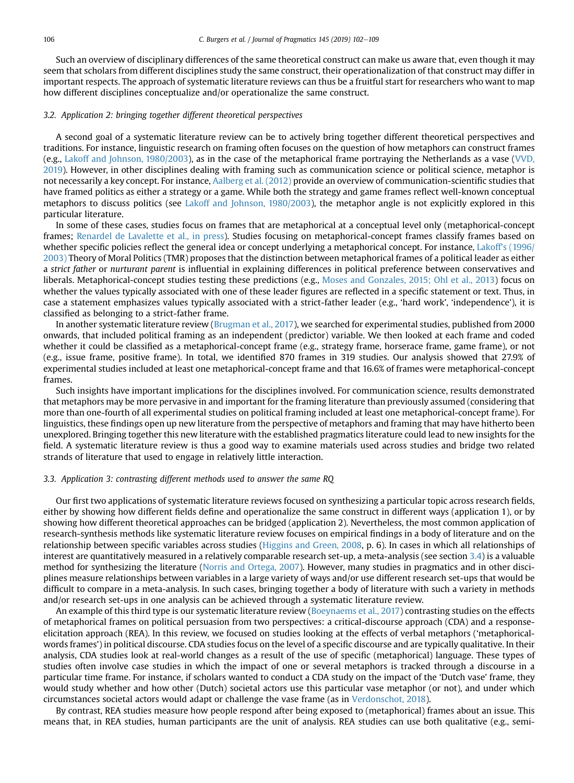<span id="page-4-0"></span>Such an overview of disciplinary differences of the same theoretical construct can make us aware that, even though it may seem that scholars from different disciplines study the same construct, their operationalization of that construct may differ in important respects. The approach of systematic literature reviews can thus be a fruitful start for researchers who want to map how different disciplines conceptualize and/or operationalize the same construct.

#### 3.2. Application 2: bringing together different theoretical perspectives

A second goal of a systematic literature review can be to actively bring together different theoretical perspectives and traditions. For instance, linguistic research on framing often focuses on the question of how metaphors can construct frames (e.g., [Lakoff and Johnson, 1980/2003\)](#page-6-0), as in the case of the metaphorical frame portraying the Netherlands as a vase ([VVD,](#page-7-0) [2019](#page-7-0)). However, in other disciplines dealing with framing such as communication science or political science, metaphor is not necessarily a key concept. For instance, [Aalberg et al. \(2012\)](#page-6-0) provide an overview of communication-scientific studies that have framed politics as either a strategy or a game. While both the strategy and game frames reflect well-known conceptual metaphors to discuss politics (see [Lakoff and Johnson, 1980/2003\)](#page-6-0), the metaphor angle is not explicitly explored in this particular literature.

In some of these cases, studies focus on frames that are metaphorical at a conceptual level only (metaphorical-concept frames; [Renardel de Lavalette et al., in press\)](#page-7-0). Studies focusing on metaphorical-concept frames classify frames based on whether specific policies reflect the general idea or concept underlying a metaphorical concept. For instance, [Lakoff's \(1996/](#page-6-0) [2003\)](#page-6-0) Theory of Moral Politics (TMR) proposes that the distinction between metaphorical frames of a political leader as either a strict father or nurturant parent is influential in explaining differences in political preference between conservatives and liberals. Metaphorical-concept studies testing these predictions (e.g., [Moses and Gonzales, 2015; Ohl et al., 2013](#page-7-0)) focus on whether the values typically associated with one of these leader figures are reflected in a specific statement or text. Thus, in case a statement emphasizes values typically associated with a strict-father leader (e.g., 'hard work', 'independence'), it is classified as belonging to a strict-father frame.

In another systematic literature review [\(Brugman et al., 2017\)](#page-6-0), we searched for experimental studies, published from 2000 onwards, that included political framing as an independent (predictor) variable. We then looked at each frame and coded whether it could be classified as a metaphorical-concept frame (e.g., strategy frame, horserace frame, game frame), or not (e.g., issue frame, positive frame). In total, we identified 870 frames in 319 studies. Our analysis showed that 27.9% of experimental studies included at least one metaphorical-concept frame and that 16.6% of frames were metaphorical-concept frames.

Such insights have important implications for the disciplines involved. For communication science, results demonstrated that metaphors may be more pervasive in and important for the framing literature than previously assumed (considering that more than one-fourth of all experimental studies on political framing included at least one metaphorical-concept frame). For linguistics, these findings open up new literature from the perspective of metaphors and framing that may have hitherto been unexplored. Bringing together this new literature with the established pragmatics literature could lead to new insights for the field. A systematic literature review is thus a good way to examine materials used across studies and bridge two related strands of literature that used to engage in relatively little interaction.

#### 3.3. Application 3: contrasting different methods used to answer the same RQ

Our first two applications of systematic literature reviews focused on synthesizing a particular topic across research fields, either by showing how different fields define and operationalize the same construct in different ways (application 1), or by showing how different theoretical approaches can be bridged (application 2). Nevertheless, the most common application of research-synthesis methods like systematic literature review focuses on empirical findings in a body of literature and on the relationship between specific variables across studies [\(Higgins and Green, 2008](#page-6-0), p. 6). In cases in which all relationships of interest are quantitatively measured in a relatively comparable research set-up, a meta-analysis (see section [3.4\)](#page-5-0) is a valuable method for synthesizing the literature [\(Norris and Ortega, 2007](#page-7-0)). However, many studies in pragmatics and in other disciplines measure relationships between variables in a large variety of ways and/or use different research set-ups that would be difficult to compare in a meta-analysis. In such cases, bringing together a body of literature with such a variety in methods and/or research set-ups in one analysis can be achieved through a systematic literature review.

An example of this third type is our systematic literature review [\(Boeynaems et al., 2017](#page-6-0)) contrasting studies on the effects of metaphorical frames on political persuasion from two perspectives: a critical-discourse approach (CDA) and a responseelicitation approach (REA). In this review, we focused on studies looking at the effects of verbal metaphors ('metaphoricalwords frames') in political discourse. CDA studies focus on the level of a specific discourse and are typically qualitative. In their analysis, CDA studies look at real-world changes as a result of the use of specific (metaphorical) language. These types of studies often involve case studies in which the impact of one or several metaphors is tracked through a discourse in a particular time frame. For instance, if scholars wanted to conduct a CDA study on the impact of the 'Dutch vase' frame, they would study whether and how other (Dutch) societal actors use this particular vase metaphor (or not), and under which circumstances societal actors would adapt or challenge the vase frame (as in [Verdonschot, 2018](#page-7-0)).

By contrast, REA studies measure how people respond after being exposed to (metaphorical) frames about an issue. This means that, in REA studies, human participants are the unit of analysis. REA studies can use both qualitative (e.g., semi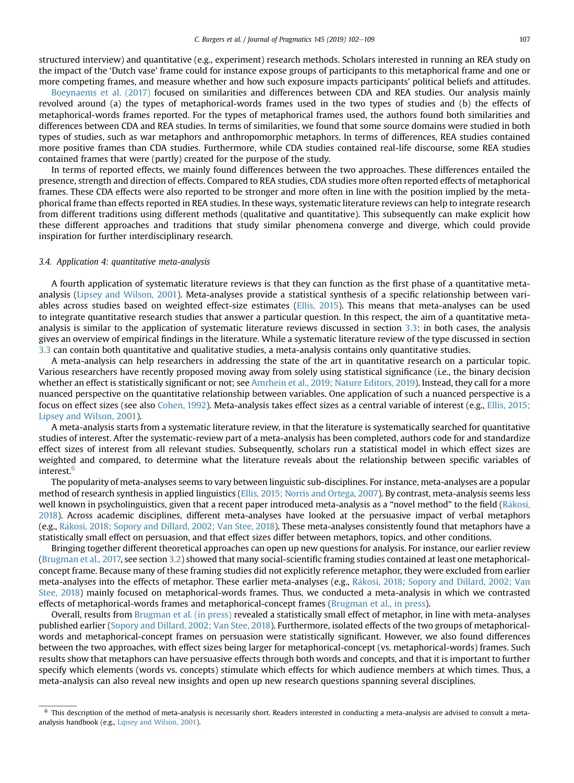<span id="page-5-0"></span>structured interview) and quantitative (e.g., experiment) research methods. Scholars interested in running an REA study on the impact of the 'Dutch vase' frame could for instance expose groups of participants to this metaphorical frame and one or more competing frames, and measure whether and how such exposure impacts participants' political beliefs and attitudes.

[Boeynaems et al. \(2017\)](#page-6-0) focused on similarities and differences between CDA and REA studies. Our analysis mainly revolved around (a) the types of metaphorical-words frames used in the two types of studies and (b) the effects of metaphorical-words frames reported. For the types of metaphorical frames used, the authors found both similarities and differences between CDA and REA studies. In terms of similarities, we found that some source domains were studied in both types of studies, such as war metaphors and anthropomorphic metaphors. In terms of differences, REA studies contained more positive frames than CDA studies. Furthermore, while CDA studies contained real-life discourse, some REA studies contained frames that were (partly) created for the purpose of the study.

In terms of reported effects, we mainly found differences between the two approaches. These differences entailed the presence, strength and direction of effects. Compared to REA studies, CDA studies more often reported effects of metaphorical frames. These CDA effects were also reported to be stronger and more often in line with the position implied by the metaphorical frame than effects reported in REA studies. In these ways, systematic literature reviews can help to integrate research from different traditions using different methods (qualitative and quantitative). This subsequently can make explicit how these different approaches and traditions that study similar phenomena converge and diverge, which could provide inspiration for further interdisciplinary research.

#### 3.4. Application 4: quantitative meta-analysis

A fourth application of systematic literature reviews is that they can function as the first phase of a quantitative metaanalysis [\(Lipsey and Wilson, 2001](#page-6-0)). Meta-analyses provide a statistical synthesis of a specific relationship between variables across studies based on weighted effect-size estimates ([Ellis, 2015](#page-6-0)). This means that meta-analyses can be used to integrate quantitative research studies that answer a particular question. In this respect, the aim of a quantitative metaanalysis is similar to the application of systematic literature reviews discussed in section [3.3:](#page-4-0) in both cases, the analysis gives an overview of empirical findings in the literature. While a systematic literature review of the type discussed in section [3.3](#page-4-0) can contain both quantitative and qualitative studies, a meta-analysis contains only quantitative studies.

A meta-analysis can help researchers in addressing the state of the art in quantitative research on a particular topic. Various researchers have recently proposed moving away from solely using statistical significance (i.e., the binary decision whether an effect is statistically significant or not; see [Amrhein et al., 2019; Nature Editors, 2019\)](#page-6-0). Instead, they call for a more nuanced perspective on the quantitative relationship between variables. One application of such a nuanced perspective is a focus on effect sizes (see also [Cohen, 1992\)](#page-6-0). Meta-analysis takes effect sizes as a central variable of interest (e.g., [Ellis, 2015;](#page-6-0) [Lipsey and Wilson, 2001\)](#page-6-0).

A meta-analysis starts from a systematic literature review, in that the literature is systematically searched for quantitative studies of interest. After the systematic-review part of a meta-analysis has been completed, authors code for and standardize effect sizes of interest from all relevant studies. Subsequently, scholars run a statistical model in which effect sizes are weighted and compared, to determine what the literature reveals about the relationship between specific variables of interest.<sup>6</sup>

The popularity of meta-analyses seems to vary between linguistic sub-disciplines. For instance, meta-analyses are a popular method of research synthesis in applied linguistics ([Ellis, 2015; Norris and Ortega, 2007\)](#page-6-0). By contrast, meta-analysis seems less well known in psycholinguistics, given that a recent paper introduced meta-analysis as a "novel method" to the field ([R](#page-7-0)ákosi, [2018\)](#page-7-0). Across academic disciplines, different meta-analyses have looked at the persuasive impact of verbal metaphors (e.g., [R](#page-7-0)a[kosi, 2018; Sopory and Dillard, 2002; Van Stee, 2018](#page-7-0) ). These meta-analyses consistently found that metaphors have a statistically small effect on persuasion, and that effect sizes differ between metaphors, topics, and other conditions.

Bringing together different theoretical approaches can open up new questions for analysis. For instance, our earlier review ([Brugman et al., 2017,](#page-6-0) see section [3.2\)](#page-4-0) showed that many social-scientific framing studies contained at least one metaphoricalconcept frame. Because many of these framing studies did not explicitly reference metaphor, they were excluded from earlier meta-analyses into the effects of metaphor. These earlier meta-analyses (e.g., [Rakosi, 2018; Sopory and Dillard, 2002; Van](#page-7-0) [Stee, 2018\)](#page-7-0) mainly focused on metaphorical-words frames. Thus, we conducted a meta-analysis in which we contrasted effects of metaphorical-words frames and metaphorical-concept frames [\(Brugman et al., in press\)](#page-6-0).

Overall, results from [Brugman et al. \(in press\)](#page-6-0) revealed a statistically small effect of metaphor, in line with meta-analyses published earlier [\(Sopory and Dillard, 2002; Van Stee, 2018\)](#page-7-0). Furthermore, isolated effects of the two groups of metaphoricalwords and metaphorical-concept frames on persuasion were statistically significant. However, we also found differences between the two approaches, with effect sizes being larger for metaphorical-concept (vs. metaphorical-words) frames. Such results show that metaphors can have persuasive effects through both words and concepts, and that it is important to further specify which elements (words vs. concepts) stimulate which effects for which audience members at which times. Thus, a meta-analysis can also reveal new insights and open up new research questions spanning several disciplines.

 $6$  This description of the method of meta-analysis is necessarily short. Readers interested in conducting a meta-analysis are advised to consult a metaanalysis handbook (e.g., [Lipsey and Wilson, 2001\)](#page-6-0).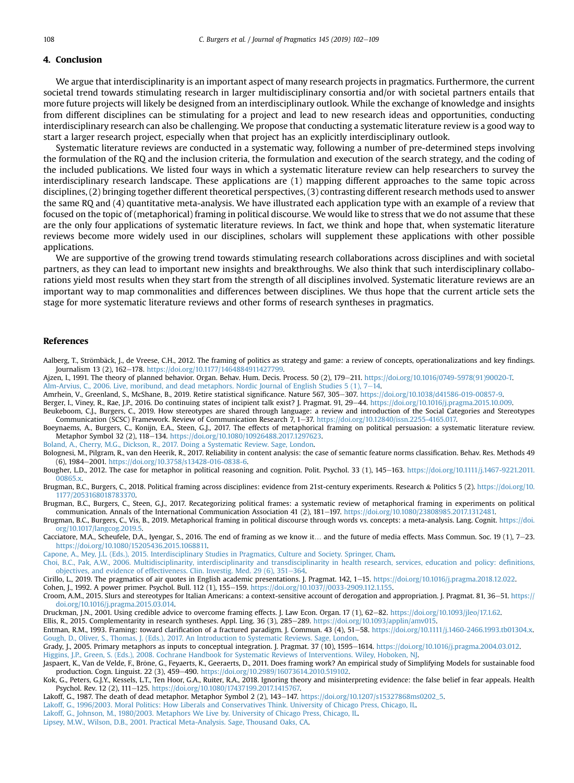#### <span id="page-6-0"></span>4. Conclusion

We argue that interdisciplinarity is an important aspect of many research projects in pragmatics. Furthermore, the current societal trend towards stimulating research in larger multidisciplinary consortia and/or with societal partners entails that more future projects will likely be designed from an interdisciplinary outlook. While the exchange of knowledge and insights from different disciplines can be stimulating for a project and lead to new research ideas and opportunities, conducting interdisciplinary research can also be challenging. We propose that conducting a systematic literature review is a good way to start a larger research project, especially when that project has an explicitly interdisciplinary outlook.

Systematic literature reviews are conducted in a systematic way, following a number of pre-determined steps involving the formulation of the RQ and the inclusion criteria, the formulation and execution of the search strategy, and the coding of the included publications. We listed four ways in which a systematic literature review can help researchers to survey the interdisciplinary research landscape. These applications are (1) mapping different approaches to the same topic across disciplines, (2) bringing together different theoretical perspectives, (3) contrasting different research methods used to answer the same RQ and (4) quantitative meta-analysis. We have illustrated each application type with an example of a review that focused on the topic of (metaphorical) framing in political discourse. We would like to stress that we do not assume that these are the only four applications of systematic literature reviews. In fact, we think and hope that, when systematic literature reviews become more widely used in our disciplines, scholars will supplement these applications with other possible applications.

We are supportive of the growing trend towards stimulating research collaborations across disciplines and with societal partners, as they can lead to important new insights and breakthroughs. We also think that such interdisciplinary collaborations yield most results when they start from the strength of all disciplines involved. Systematic literature reviews are an important way to map commonalities and differences between disciplines. We thus hope that the current article sets the stage for more systematic literature reviews and other forms of research syntheses in pragmatics.

#### References

Aalberg, T., Strömbäck, J., de Vreese, C.H., 2012. The framing of politics as strategy and game: a review of concepts, operationalizations and key findings. Journalism 13 (2), 162-178. [https://doi.org/10.1177/1464884911427799.](https://doi.org/10.1177/1464884911427799)

Ajzen, I., 1991. The theory of planned behavior. Organ. Behav. Hum. Decis. Process. 50 (2), 179-211. [https://doi.org/10.1016/0749-5978\(91\)90020-T.](https://doi.org/10.1016/0749-5978(91)90020-T) Alm-Arvius, C., 2006. Live, moribund, and dead metaphors. Nordic Journal of English Studies  $5(1)$ ,  $7-14$ .

Amrhein, V., Greenland, S., McShane, B., 2019. Retire statistical significance. Nature 567, 305-307. [https://doi.org/10.1038/d41586-019-00857-9.](https://doi.org/10.1038/d41586-019-00857-9)

Berger, I., Viney, R., Rae, J.P., 2016. Do continuing states of incipient talk exist? J. Pragmat. 91, 29-44. [https://doi.org/10.1016/j.pragma.2015.10.009.](https://doi.org/10.1016/j.pragma.2015.10.009)

Beukeboom, C.J., Burgers, C., 2019. How stereotypes are shared through language: a review and introduction of the Social Categories and Stereotypes Communication (SCSC) Framework. Review of Communication Research 7, 1-37. [https://doi.org/10.12840/issn.2255-4165.017.](https://doi.org/10.12840/issn.2255-4165.017)

Boeynaems, A., Burgers, C., Konijn, E.A., Steen, G.J., 2017. The effects of metaphorical framing on political persuasion: a systematic literature review. Metaphor Symbol 32 (2), 118-134. [https://doi.org/10.1080/10926488.2017.1297623.](https://doi.org/10.1080/10926488.2017.1297623)

[Boland, A., Cherry, M.G., Dickson, R., 2017. Doing a Systematic Review. Sage, London.](http://refhub.elsevier.com/S0378-2166(19)30192-4/sref8)

Bolognesi, M., Pilgram, R., van den Heerik, R., 2017. Reliability in content analysis: the case of semantic feature norms classification. Behav. Res. Methods 49 (6), 1984-2001. <https://doi.org/10.3758/s13428-016-0838-6>.

Bougher, L.D., 2012. The case for metaphor in political reasoning and cognition. Polit. Psychol. 33 (1), 145–163. [https://doi.org/10.1111/j.1467-9221.2011.](https://doi.org/10.1111/j.1467-9221.2011.00865.x) 00865 $\overline{5}$ 

Brugman, B.C., Burgers, C., 2018. Political framing across disciplines: evidence from 21st-century experiments. Research & Politics 5 (2). [https://doi.org/10.](https://doi.org/10.1177/2053168018783370) [1177/2053168018783370](https://doi.org/10.1177/2053168018783370).

Brugman, B.C., Burgers, C., Steen, G.J., 2017. Recategorizing political frames: a systematic review of metaphorical framing in experiments on political communication. Annals of the International Communication Association 41 (2), 181-197. [https://doi.org/10.1080/23808985.2017.1312481.](https://doi.org/10.1080/23808985.2017.1312481)

Brugman, B.C., Burgers, C., Vis, B., 2019. Metaphorical framing in political discourse through words vs. concepts: a meta-analysis. Lang. Cognit. [https://doi.](https://doi.org/10.1017/langcog.2019.5) [org/10.1017/langcog.2019.5.](https://doi.org/10.1017/langcog.2019.5)

Cacciatore, M.A., Scheufele, D.A., Iyengar, S., 2016. The end of framing as we know it... and the future of media effects. Mass Commun. Soc. 19 (1), 7-23. [https://doi.org/10.1080/15205436.2015.1068811.](https://doi.org/10.1080/15205436.2015.1068811)

[Capone, A., Mey, J.L. \(Eds.\), 2015. Interdisciplinary Studies in Pragmatics, Culture and Society. Springer, Cham.](http://refhub.elsevier.com/S0378-2166(19)30192-4/sref15)

[Choi, B.C., Pak, A.W., 2006. Multidisciplinarity, interdisciplinarity and transdisciplinarity in health research, services, education and policy: de](http://refhub.elsevier.com/S0378-2166(19)30192-4/sref16)finitions, [objectives, and evidence of effectiveness. Clin. Investig. Med. 29 \(6\), 351](http://refhub.elsevier.com/S0378-2166(19)30192-4/sref16)-[364.](http://refhub.elsevier.com/S0378-2166(19)30192-4/sref16)

Cirillo, L., 2019. The pragmatics of air quotes in English academic presentations. J. Pragmat. 142, 1-15. [https://doi.org/10.1016/j.pragma.2018.12.022.](https://doi.org/10.1016/j.pragma.2018.12.022)

Cohen, J., 1992. A power primer. Psychol. Bull. 112 (1), 155-159. <https://doi.org/10.1037//0033-2909.112.1.155>.

Croom, A.M., 2015. Slurs and stereotypes for Italian Americans: a context-sensitive account of derogation and appropriation. J. Pragmat. 81, 36–51. [https://](https://doi.org/10.1016/j.pragma.2015.03.014) [doi.org/10.1016/j.pragma.2015.03.014](https://doi.org/10.1016/j.pragma.2015.03.014).

Druckman, J.N., 2001. Using credible advice to overcome framing effects. J. Law Econ. Organ. 17 (1), 62-82. [https://doi.org/10.1093/jleo/17.1.62.](https://doi.org/10.1093/jleo/17.1.62)

Ellis, R., 2015. Complementarity in research syntheses. Appl. Ling. 36 (3), 285–289. [https://doi.org/10.1093/applin/amv015.](https://doi.org/10.1093/applin/amv015)

Entman, R.M., 1993. Framing: toward clarification of a fractured paradigm. J. Commun.  $43(4)$ , 51-58. <https://doi.org/10.1111/j.1460-2466.1993.tb01304.x>. [Gough, D., Oliver, S., Thomas, J. \(Eds.\), 2017. An Introduction to Systematic Reviews. Sage, London.](http://refhub.elsevier.com/S0378-2166(19)30192-4/sref23)

Grady, J., 2005. Primary metaphors as inputs to conceptual integration. J. Pragmat. 37 (10), 1595–1614. [https://doi.org/10.1016/j.pragma.2004.03.012.](https://doi.org/10.1016/j.pragma.2004.03.012)

[Higgins, J.P., Green, S. \(Eds.\), 2008. Cochrane Handbook for Systematic Reviews of Interventions. Wiley, Hoboken, NJ](http://refhub.elsevier.com/S0378-2166(19)30192-4/sref25).

Jaspaert, K., Van de Velde, F., Brone, G., Feyaerts, K., Geeraerts, D., 2011. Does framing work? An empirical study of Simplifying Models for sustainable food ^ production. Cogn. Linguist. 22 (3), 459-490. [https://doi.org/10.2989/16073614.2010.519102.](https://doi.org/10.2989/16073614.2010.519102)

Kok, G., Peters, G.J.Y., Kessels, L.T., Ten Hoor, G.A., Ruiter, R.A., 2018. Ignoring theory and misinterpreting evidence: the false belief in fear appeals. Health Psychol. Rev. 12 (2), 111-125. [https://doi.org/10.1080/17437199.2017.1415767.](https://doi.org/10.1080/17437199.2017.1415767)

Lakoff, G., 1987. The death of dead metaphor. Metaphor Symbol 2 (2), 143-147. [https://doi.org/10.1207/s15327868ms0202\\_5.](https://doi.org/10.1207/s15327868ms0202_5)

[Lakoff, G., 1996/2003. Moral Politics: How Liberals and Conservatives Think. University of Chicago Press, Chicago, IL](http://refhub.elsevier.com/S0378-2166(19)30192-4/sref29).

[Lakoff, G., Johnson, M., 1980/2003. Metaphors We Live by. University of Chicago Press, Chicago, IL](http://refhub.elsevier.com/S0378-2166(19)30192-4/sref30).

[Lipsey, M.W., Wilson, D.B., 2001. Practical Meta-Analysis. Sage, Thousand Oaks, CA](http://refhub.elsevier.com/S0378-2166(19)30192-4/sref31).